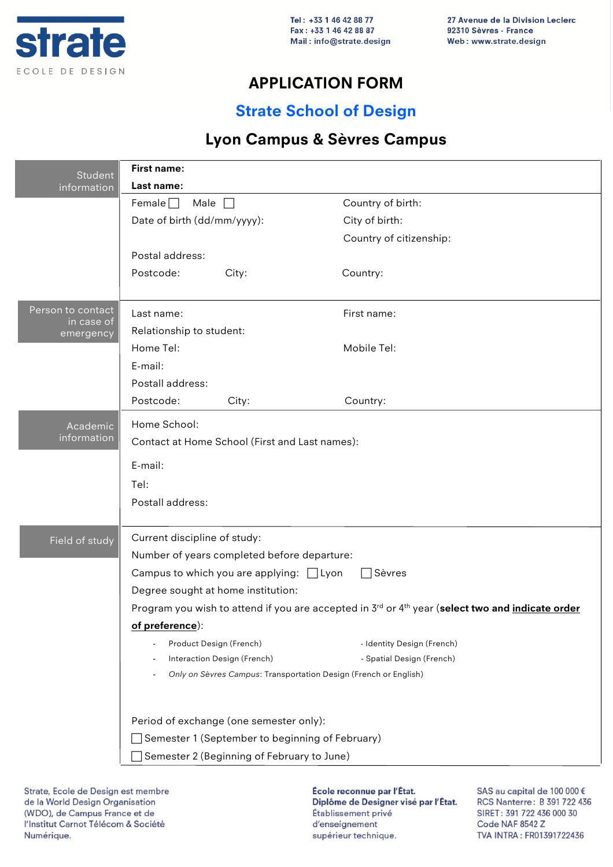

## **APPLICATION FORM**

## **Strate School of Design**

## **Lyon Campus & Sèvres Campus**

| <b>Student</b>                  | First name:                                                                                                                     |                                                                  |                            |  |
|---------------------------------|---------------------------------------------------------------------------------------------------------------------------------|------------------------------------------------------------------|----------------------------|--|
| information                     | Last name:                                                                                                                      |                                                                  |                            |  |
|                                 | Male $\Box$<br>Female $\Box$                                                                                                    |                                                                  | Country of birth:          |  |
|                                 | Date of birth (dd/mm/yyyy):<br>Postal address:                                                                                  |                                                                  | City of birth:             |  |
|                                 |                                                                                                                                 |                                                                  | Country of citizenship:    |  |
|                                 |                                                                                                                                 |                                                                  |                            |  |
|                                 | Postcode:                                                                                                                       | City:                                                            | Country:                   |  |
|                                 |                                                                                                                                 |                                                                  |                            |  |
| Person to contact<br>in case of | Last name:                                                                                                                      |                                                                  | First name:                |  |
| emergency                       | Relationship to student:                                                                                                        |                                                                  |                            |  |
|                                 | Home Tel:                                                                                                                       |                                                                  | Mobile Tel:                |  |
|                                 | E-mail:                                                                                                                         |                                                                  |                            |  |
|                                 | Postall address:                                                                                                                |                                                                  |                            |  |
|                                 | Postcode:                                                                                                                       | City:                                                            | Country:                   |  |
| Academic                        | Home School:                                                                                                                    |                                                                  |                            |  |
| information                     | Contact at Home School (First and Last names):                                                                                  |                                                                  |                            |  |
|                                 |                                                                                                                                 |                                                                  |                            |  |
|                                 | E-mail:                                                                                                                         |                                                                  |                            |  |
|                                 | Tel:                                                                                                                            |                                                                  |                            |  |
|                                 | Postall address:                                                                                                                |                                                                  |                            |  |
| Field of study                  | Current discipline of study:                                                                                                    |                                                                  |                            |  |
|                                 | Number of years completed before departure:                                                                                     |                                                                  |                            |  |
|                                 | Campus to which you are applying: $\Box$ Lyon<br>$\Box$ Sèvres                                                                  |                                                                  |                            |  |
|                                 | Degree sought at home institution:                                                                                              |                                                                  |                            |  |
|                                 | Program you wish to attend if you are accepted in 3 <sup>rd</sup> or 4 <sup>th</sup> year (select two and <i>indicate order</i> |                                                                  |                            |  |
|                                 | of preference):                                                                                                                 |                                                                  |                            |  |
|                                 | Product Design (French)                                                                                                         |                                                                  | - Identity Design (French) |  |
|                                 |                                                                                                                                 | Interaction Design (French)                                      | - Spatial Design (French)  |  |
|                                 | ÷,                                                                                                                              | Only on Sèvres Campus: Transportation Design (French or English) |                            |  |
|                                 |                                                                                                                                 |                                                                  |                            |  |
|                                 | Period of exchange (one semester only):                                                                                         |                                                                  |                            |  |
|                                 |                                                                                                                                 | Semester 1 (September to beginning of February)                  |                            |  |
|                                 | Semester 2 (Beginning of February to June)                                                                                      |                                                                  |                            |  |

Strate, Ecole de Design est membre de la World Design Organisation (WDO), de Campus France et de l'Institut Carnot Télécom & Société Numérique.

École reconnue par l'État. Diplôme de Designer visé par l'État. Établissement privé d'enseignement supérieur technique.

SAS au capital de 100 000 € RCS Nanterre: B 391 722 436 SIRET: 391 722 436 000 30 Code NAF 8542 Z TVA INTRA: FR01391722436